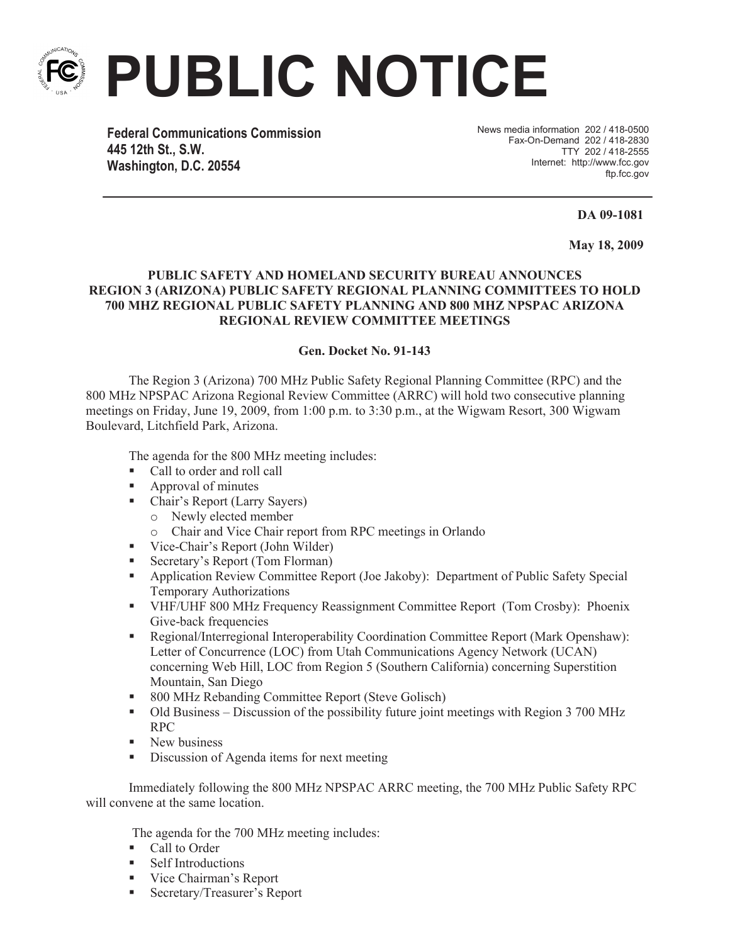

**PUBLIC NOTICE**

**Federal Communications Commission 445 12th St., S.W. Washington, D.C. 20554**

News media information 202 / 418-0500 Fax-On-Demand 202 / 418-2830 TTY 202 / 418-2555 Internet: http://www.fcc.gov ftp.fcc.gov

**DA 09-1081** 

**May 18, 2009**

## **PUBLIC SAFETY AND HOMELAND SECURITY BUREAU ANNOUNCES REGION 3 (ARIZONA) PUBLIC SAFETY REGIONAL PLANNING COMMITTEES TO HOLD 700 MHZ REGIONAL PUBLIC SAFETY PLANNING AND 800 MHZ NPSPAC ARIZONA REGIONAL REVIEW COMMITTEE MEETINGS**

## **Gen. Docket No. 91-143**

The Region 3 (Arizona) 700 MHz Public Safety Regional Planning Committee (RPC) and the 800 MHz NPSPAC Arizona Regional Review Committee (ARRC) will hold two consecutive planning meetings on Friday, June 19, 2009, from 1:00 p.m. to 3:30 p.m., at the Wigwam Resort, 300 Wigwam Boulevard, Litchfield Park, Arizona.

The agenda for the 800 MHz meeting includes:

- Call to order and roll call
- Approval of minutes
- Chair's Report (Larry Sayers)
	- o Newly elected member
	- o Chair and Vice Chair report from RPC meetings in Orlando
- Vice-Chair's Report (John Wilder)
- Secretary's Report (Tom Florman)
- Application Review Committee Report (Joe Jakoby): Department of Public Safety Special Temporary Authorizations
- § VHF/UHF 800 MHz Frequency Reassignment Committee Report (Tom Crosby): Phoenix Give-back frequencies
- § Regional/Interregional Interoperability Coordination Committee Report (Mark Openshaw): Letter of Concurrence (LOC) from Utah Communications Agency Network (UCAN) concerning Web Hill, LOC from Region 5 (Southern California) concerning Superstition Mountain, San Diego
- 800 MHz Rebanding Committee Report (Steve Golisch)
- Old Business Discussion of the possibility future joint meetings with Region 3 700 MHz RPC
- New business
- Discussion of Agenda items for next meeting

Immediately following the 800 MHz NPSPAC ARRC meeting, the 700 MHz Public Safety RPC will convene at the same location.

The agenda for the 700 MHz meeting includes:

- Call to Order
- Self Introductions
- Vice Chairman's Report
- Secretary/Treasurer's Report